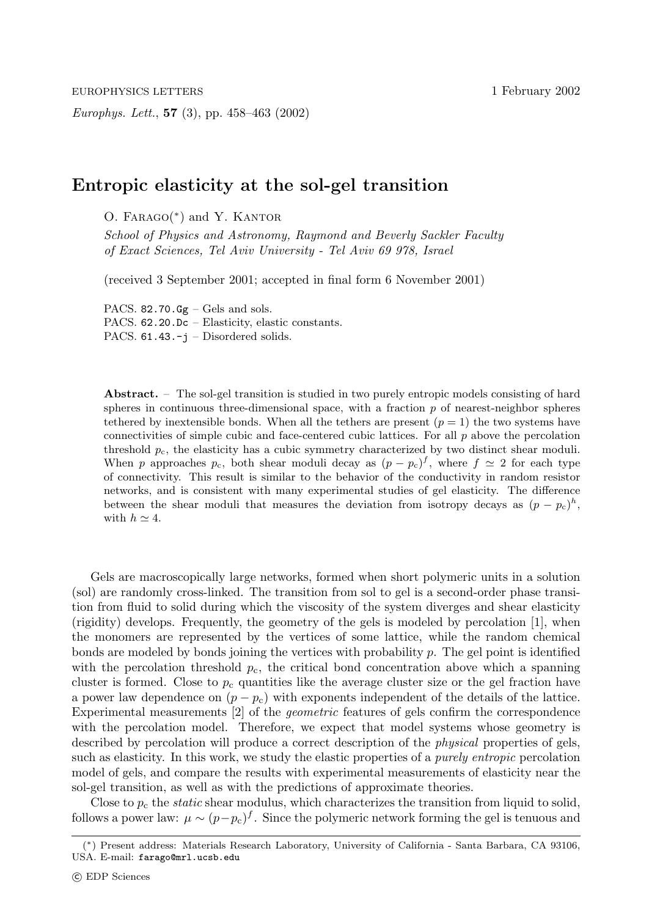*Europhys. Lett.*, **57** (3), pp. 458–463 (2002)

## **Entropic elasticity at the sol-gel transition**

O. Farago(∗) and Y. Kantor

*School of Physics and Astronomy, Raymond and Beverly Sackler Faculty of Exact Sciences, Tel Aviv University - Tel Aviv 69 978, Israel*

(received 3 September 2001; accepted in final form 6 November 2001)

PACS.  $82.70.$  Gg – Gels and sols. PACS. 62.20.Dc – Elasticity, elastic constants. PACS. 61.43.-j – Disordered solids.

**Abstract.** – The sol-gel transition is studied in two purely entropic models consisting of hard spheres in continuous three-dimensional space, with a fraction  $p$  of nearest-neighbor spheres tethered by inextensible bonds. When all the tethers are present  $(p = 1)$  the two systems have connectivities of simple cubic and face-centered cubic lattices. For all  $p$  above the percolation threshold  $p_c$ , the elasticity has a cubic symmetry characterized by two distinct shear moduli. When p approaches  $p_c$ , both shear moduli decay as  $(p - p_c)^f$ , where  $f \simeq 2$  for each type of connectivity. This result is similar to the behavior of the conductivity in random resistor networks, and is consistent with many experimental studies of gel elasticity. The difference between the shear moduli that measures the deviation from isotropy decays as  $(p - p_c)^h$ , with  $h \simeq 4$ .

Gels are macroscopically large networks, formed when short polymeric units in a solution (sol) are randomly cross-linked. The transition from sol to gel is a second-order phase transition from fluid to solid during which the viscosity of the system diverges and shear elasticity (rigidity) develops. Frequently, the geometry of the gels is modeled by percolation [1], when the monomers are represented by the vertices of some lattice, while the random chemical bonds are modeled by bonds joining the vertices with probability  $p$ . The gel point is identified with the percolation threshold  $p<sub>c</sub>$ , the critical bond concentration above which a spanning cluster is formed. Close to  $p_c$  quantities like the average cluster size or the gel fraction have a power law dependence on  $(p - p_c)$  with exponents independent of the details of the lattice. Experimental measurements [2] of the *geometric* features of gels confirm the correspondence with the percolation model. Therefore, we expect that model systems whose geometry is described by percolation will produce a correct description of the *physical* properties of gels, such as elasticity. In this work, we study the elastic properties of a *purely entropic* percolation model of gels, and compare the results with experimental measurements of elasticity near the sol-gel transition, as well as with the predictions of approximate theories.

Close to  $p_c$  the *static* shear modulus, which characterizes the transition from liquid to solid, follows a power law:  $\mu \sim (p-p_c)^f$ . Since the polymeric network forming the gel is tenuous and

<sup>(</sup>∗) Present address: Materials Research Laboratory, University of California - Santa Barbara, CA 93106, USA. E-mail: farago@mrl.ucsb.edu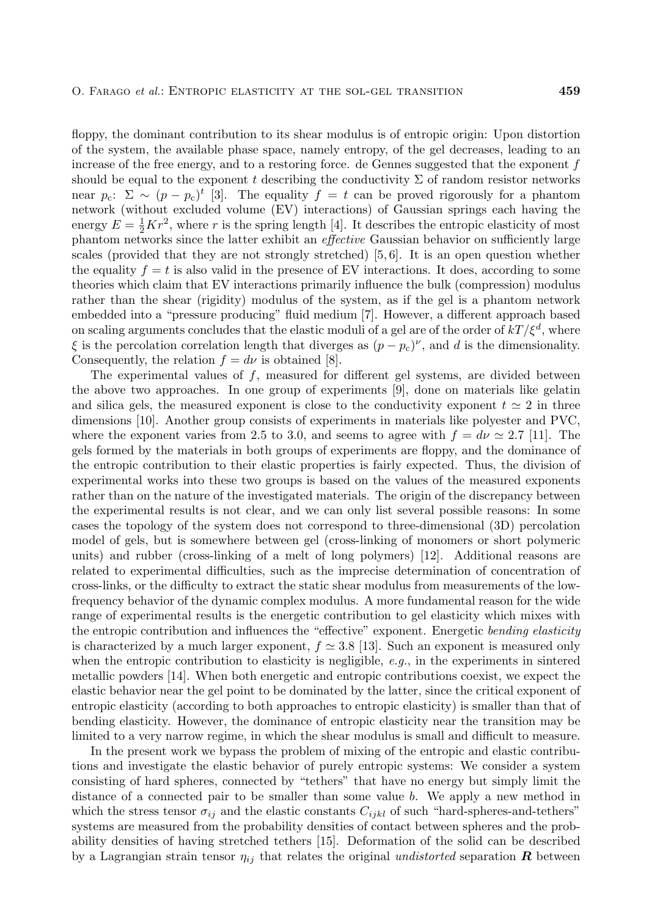floppy, the dominant contribution to its shear modulus is of entropic origin: Upon distortion of the system, the available phase space, namely entropy, of the gel decreases, leading to an increase of the free energy, and to a restoring force. de Gennes suggested that the exponent  $f$ should be equal to the exponent t describing the conductivity  $\Sigma$  of random resistor networks near  $p_c$ :  $\Sigma \sim (p - p_c)^t$  [3]. The equality  $f = t$  can be proved rigorously for a phantom network (without excluded volume (EV) interactions) of Gaussian springs each having the energy  $E = \frac{1}{2}Kr^2$ , where r is the spring length [4]. It describes the entropic elasticity of most phantom networks since the latter exhibit an *effective* Gaussian behavior on sufficiently large scales (provided that they are not strongly stretched)  $[5, 6]$ . It is an open question whether the equality  $f = t$  is also valid in the presence of EV interactions. It does, according to some theories which claim that EV interactions primarily influence the bulk (compression) modulus rather than the shear (rigidity) modulus of the system, as if the gel is a phantom network embedded into a "pressure producing" fluid medium [7]. However, a different approach based on scaling arguments concludes that the elastic moduli of a gel are of the order of  $kT/\xi^d$ , where  $\xi$  is the percolation correlation length that diverges as  $(p - p_c)^{\nu}$ , and d is the dimensionality. Consequently, the relation  $f = d\nu$  is obtained [8].

The experimental values of  $f$ , measured for different gel systems, are divided between the above two approaches. In one group of experiments [9], done on materials like gelatin and silica gels, the measured exponent is close to the conductivity exponent  $t \approx 2$  in three dimensions [10]. Another group consists of experiments in materials like polyester and PVC, where the exponent varies from 2.5 to 3.0, and seems to agree with  $f = d\nu \approx 2.7$  [11]. The gels formed by the materials in both groups of experiments are floppy, and the dominance of the entropic contribution to their elastic properties is fairly expected. Thus, the division of experimental works into these two groups is based on the values of the measured exponents rather than on the nature of the investigated materials. The origin of the discrepancy between the experimental results is not clear, and we can only list several possible reasons: In some cases the topology of the system does not correspond to three-dimensional (3D) percolation model of gels, but is somewhere between gel (cross-linking of monomers or short polymeric units) and rubber (cross-linking of a melt of long polymers) [12]. Additional reasons are related to experimental difficulties, such as the imprecise determination of concentration of cross-links, or the difficulty to extract the static shear modulus from measurements of the lowfrequency behavior of the dynamic complex modulus. A more fundamental reason for the wide range of experimental results is the energetic contribution to gel elasticity which mixes with the entropic contribution and influences the "effective" exponent. Energetic *bending elasticity* is characterized by a much larger exponent,  $f \approx 3.8$  [13]. Such an exponent is measured only when the entropic contribution to elasticity is negligible, *e.g.*, in the experiments in sintered metallic powders [14]. When both energetic and entropic contributions coexist, we expect the elastic behavior near the gel point to be dominated by the latter, since the critical exponent of entropic elasticity (according to both approaches to entropic elasticity) is smaller than that of bending elasticity. However, the dominance of entropic elasticity near the transition may be limited to a very narrow regime, in which the shear modulus is small and difficult to measure.

In the present work we bypass the problem of mixing of the entropic and elastic contributions and investigate the elastic behavior of purely entropic systems: We consider a system consisting of hard spheres, connected by "tethers" that have no energy but simply limit the distance of a connected pair to be smaller than some value b. We apply a new method in which the stress tensor  $\sigma_{ij}$  and the elastic constants  $C_{ijkl}$  of such "hard-spheres-and-tethers" systems are measured from the probability densities of contact between spheres and the probability densities of having stretched tethers [15]. Deformation of the solid can be described by a Lagrangian strain tensor  $\eta_{ij}$  that relates the original *undistorted* separation **R** between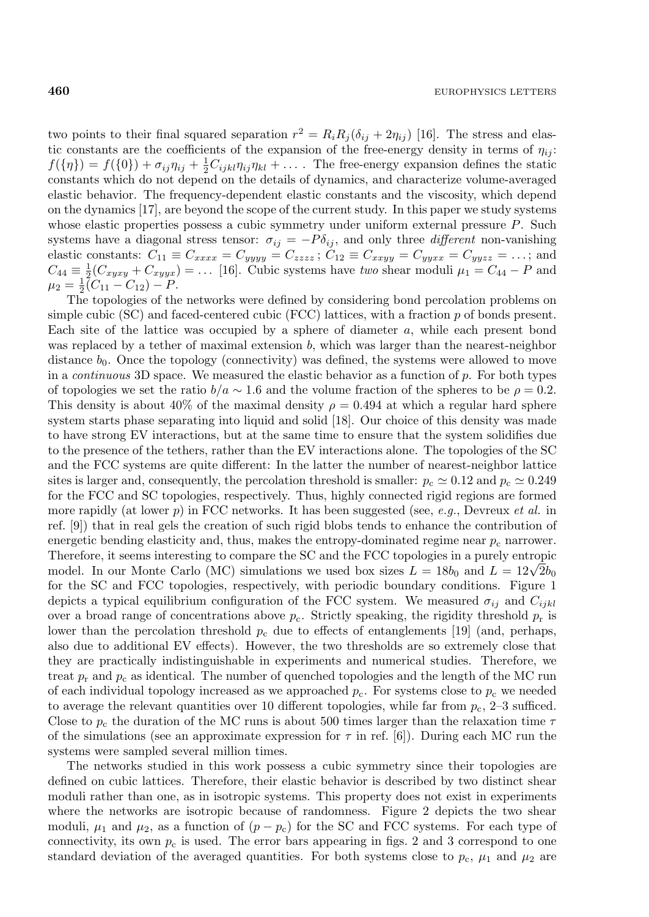two points to their final squared separation  $r^2 = R_i R_j (\delta_{ij} + 2\eta_{ij})$  [16]. The stress and elastic constants are the coefficients of the expansion of the free-energy density in terms of  $\eta_{ij}$ :  $f(\{\eta\}) = f(\{0\}) + \sigma_{ij}\eta_{ij} + \frac{1}{2}C_{ijkl}\eta_{ij}\eta_{kl} + \ldots$  The free-energy expansion defines the static constants which do not depend on the details of dynamics, and characterize volume-averaged elastic behavior. The frequency-dependent elastic constants and the viscosity, which depend on the dynamics [17], are beyond the scope of the current study. In this paper we study systems whose elastic properties possess a cubic symmetry under uniform external pressure P. Such systems have a diagonal stress tensor:  $\sigma_{ij} = -P \delta_{ij}$ , and only three *different* non-vanishing elastic constants:  $C_{11} \equiv C_{xxxx} = C_{yyyy} = C_{zzzz}$ ;  $C_{12} \equiv C_{xxyy} = C_{yyxx} = C_{yyzz} = ...$ ; and  $C_{44} \equiv \frac{1}{2}(C_{xyxy} + C_{xyyx}) = \dots$  [16]. Cubic systems have *two* shear moduli  $\mu_1 = C_{44} - P$  and  $\mu_2 = \frac{1}{2}(\overline{C}_{11} - \overline{C}_{12}) - P.$ 

The topologies of the networks were defined by considering bond percolation problems on simple cubic (SC) and faced-centered cubic (FCC) lattices, with a fraction  $p$  of bonds present. Each site of the lattice was occupied by a sphere of diameter a, while each present bond was replaced by a tether of maximal extension b, which was larger than the nearest-neighbor distance  $b_0$ . Once the topology (connectivity) was defined, the systems were allowed to move in a *continuous* 3D space. We measured the elastic behavior as a function of p. For both types of topologies we set the ratio  $b/a \sim 1.6$  and the volume fraction of the spheres to be  $\rho = 0.2$ . This density is about 40% of the maximal density  $\rho = 0.494$  at which a regular hard sphere system starts phase separating into liquid and solid [18]. Our choice of this density was made to have strong EV interactions, but at the same time to ensure that the system solidifies due to the presence of the tethers, rather than the EV interactions alone. The topologies of the SC and the FCC systems are quite different: In the latter the number of nearest-neighbor lattice sites is larger and, consequently, the percolation threshold is smaller:  $p_c \simeq 0.12$  and  $p_c \simeq 0.249$ for the FCC and SC topologies, respectively. Thus, highly connected rigid regions are formed more rapidly (at lower p) in FCC networks. It has been suggested (see, *e.g.*, Devreux *et al.* in ref. [9]) that in real gels the creation of such rigid blobs tends to enhance the contribution of energetic bending elasticity and, thus, makes the entropy-dominated regime near  $p_c$  narrower. Therefore, it seems interesting to compare the SC and the FCC topologies in a purely entropic model. In our Monte Carlo (MC) simulations we used box sizes  $L = 18b_0$  and  $L = 12\sqrt{2}b_0$ for the SC and FCC topologies, respectively, with periodic boundary conditions. Figure 1 depicts a typical equilibrium configuration of the FCC system. We measured  $\sigma_{ij}$  and  $C_{ijkl}$ over a broad range of concentrations above  $p_c$ . Strictly speaking, the rigidity threshold  $p_r$  is lower than the percolation threshold  $p_c$  due to effects of entanglements [19] (and, perhaps, also due to additional EV effects). However, the two thresholds are so extremely close that they are practically indistinguishable in experiments and numerical studies. Therefore, we treat  $p_r$  and  $p_c$  as identical. The number of quenched topologies and the length of the MC run of each individual topology increased as we approached  $p_c$ . For systems close to  $p_c$  we needed to average the relevant quantities over 10 different topologies, while far from  $p_c$ , 2–3 sufficed. Close to  $p_c$  the duration of the MC runs is about 500 times larger than the relaxation time  $\tau$ of the simulations (see an approximate expression for  $\tau$  in ref. [6]). During each MC run the systems were sampled several million times.

The networks studied in this work possess a cubic symmetry since their topologies are defined on cubic lattices. Therefore, their elastic behavior is described by two distinct shear moduli rather than one, as in isotropic systems. This property does not exist in experiments where the networks are isotropic because of randomness. Figure 2 depicts the two shear moduli,  $\mu_1$  and  $\mu_2$ , as a function of  $(p - p_c)$  for the SC and FCC systems. For each type of connectivity, its own  $p_c$  is used. The error bars appearing in figs. 2 and 3 correspond to one standard deviation of the averaged quantities. For both systems close to  $p_c$ ,  $\mu_1$  and  $\mu_2$  are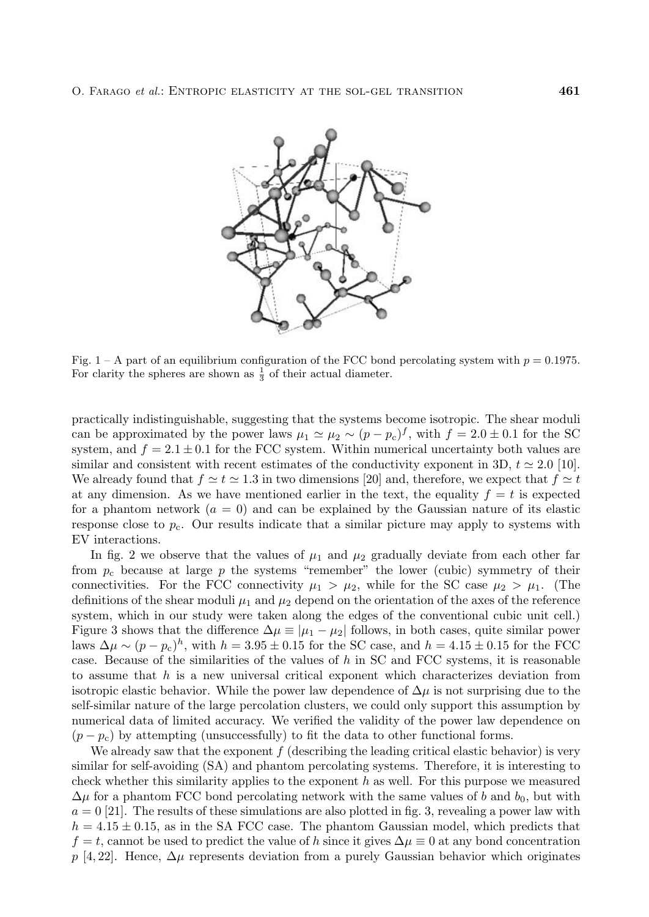

Fig. 1 – A part of an equilibrium configuration of the FCC bond percolating system with  $p = 0.1975$ . For clarity the spheres are shown as  $\frac{1}{3}$  of their actual diameter.

practically indistinguishable, suggesting that the systems become isotropic. The shear moduli can be approximated by the power laws  $\mu_1 \simeq \mu_2 \sim (p - p_c)^f$ , with  $f = 2.0 \pm 0.1$  for the SC system, and  $f = 2.1 \pm 0.1$  for the FCC system. Within numerical uncertainty both values are similar and consistent with recent estimates of the conductivity exponent in 3D,  $t \approx 2.0$  [10]. We already found that  $f \simeq t \simeq 1.3$  in two dimensions [20] and, therefore, we expect that  $f \simeq t$ at any dimension. As we have mentioned earlier in the text, the equality  $f = t$  is expected for a phantom network  $(a = 0)$  and can be explained by the Gaussian nature of its elastic response close to  $p_c$ . Our results indicate that a similar picture may apply to systems with EV interactions.

In fig. 2 we observe that the values of  $\mu_1$  and  $\mu_2$  gradually deviate from each other far from  $p_c$  because at large p the systems "remember" the lower (cubic) symmetry of their connectivities. For the FCC connectivity  $\mu_1 > \mu_2$ , while for the SC case  $\mu_2 > \mu_1$ . (The definitions of the shear moduli  $\mu_1$  and  $\mu_2$  depend on the orientation of the axes of the reference system, which in our study were taken along the edges of the conventional cubic unit cell.) Figure 3 shows that the difference  $\Delta \mu \equiv |\mu_1 - \mu_2|$  follows, in both cases, quite similar power laws  $\Delta\mu \sim (p - p_c)^h$ , with  $h = 3.95 \pm 0.15$  for the SC case, and  $h = 4.15 \pm 0.15$  for the FCC case. Because of the similarities of the values of  $h$  in SC and FCC systems, it is reasonable to assume that  $h$  is a new universal critical exponent which characterizes deviation from isotropic elastic behavior. While the power law dependence of  $\Delta \mu$  is not surprising due to the self-similar nature of the large percolation clusters, we could only support this assumption by numerical data of limited accuracy. We verified the validity of the power law dependence on  $(p - p_c)$  by attempting (unsuccessfully) to fit the data to other functional forms.

We already saw that the exponent  $f$  (describing the leading critical elastic behavior) is very similar for self-avoiding (SA) and phantom percolating systems. Therefore, it is interesting to check whether this similarity applies to the exponent  $h$  as well. For this purpose we measured  $\Delta\mu$  for a phantom FCC bond percolating network with the same values of b and b<sub>0</sub>, but with  $a = 0$  [21]. The results of these simulations are also plotted in fig. 3, revealing a power law with  $h = 4.15 \pm 0.15$ , as in the SA FCC case. The phantom Gaussian model, which predicts that  $f = t$ , cannot be used to predict the value of h since it gives  $\Delta \mu \equiv 0$  at any bond concentration p [4, 22]. Hence,  $\Delta \mu$  represents deviation from a purely Gaussian behavior which originates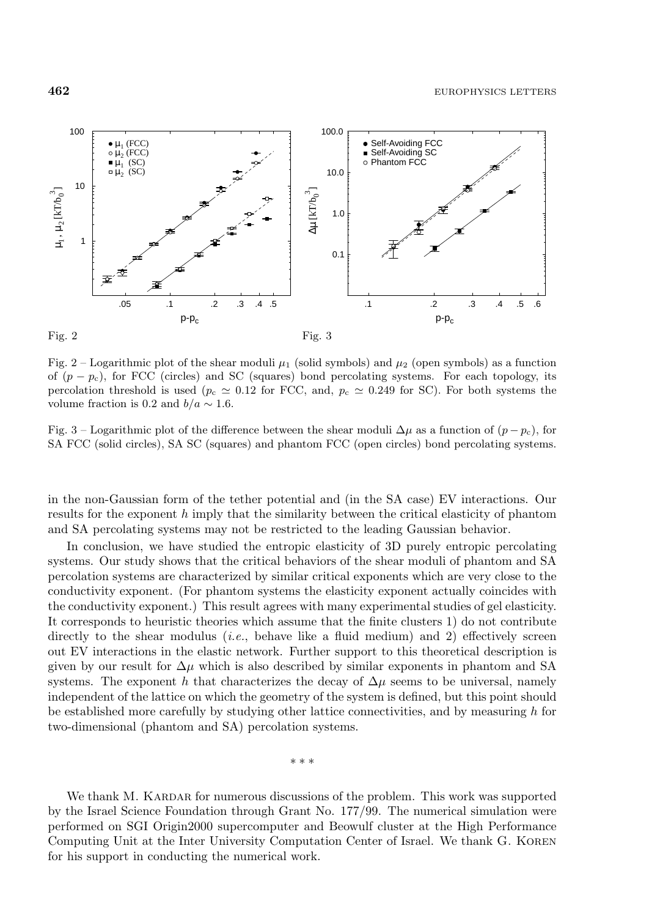



Fig. 2 – Logarithmic plot of the shear moduli  $\mu_1$  (solid symbols) and  $\mu_2$  (open symbols) as a function of  $(p - p_c)$ , for FCC (circles) and SC (squares) bond percolating systems. For each topology, its percolation threshold is used ( $p_c \approx 0.12$  for FCC, and,  $p_c \approx 0.249$  for SC). For both systems the volume fraction is 0.2 and  $b/a \sim 1.6$ .

Fig. 3 – Logarithmic plot of the difference between the shear moduli  $\Delta \mu$  as a function of  $(p - p_c)$ , for SA FCC (solid circles), SA SC (squares) and phantom FCC (open circles) bond percolating systems.

in the non-Gaussian form of the tether potential and (in the SA case) EV interactions. Our results for the exponent  $h$  imply that the similarity between the critical elasticity of phantom and SA percolating systems may not be restricted to the leading Gaussian behavior.

In conclusion, we have studied the entropic elasticity of 3D purely entropic percolating systems. Our study shows that the critical behaviors of the shear moduli of phantom and SA percolation systems are characterized by similar critical exponents which are very close to the conductivity exponent. (For phantom systems the elasticity exponent actually coincides with the conductivity exponent.) This result agrees with many experimental studies of gel elasticity. It corresponds to heuristic theories which assume that the finite clusters 1) do not contribute directly to the shear modulus *(i.e.*, behave like a fluid medium) and 2) effectively screen out EV interactions in the elastic network. Further support to this theoretical description is given by our result for  $\Delta \mu$  which is also described by similar exponents in phantom and SA systems. The exponent h that characterizes the decay of  $\Delta \mu$  seems to be universal, namely independent of the lattice on which the geometry of the system is defined, but this point should be established more carefully by studying other lattice connectivities, and by measuring  $h$  for two-dimensional (phantom and SA) percolation systems.

∗∗∗

We thank M. KARDAR for numerous discussions of the problem. This work was supported by the Israel Science Foundation through Grant No. 177/99. The numerical simulation were performed on SGI Origin2000 supercomputer and Beowulf cluster at the High Performance Computing Unit at the Inter University Computation Center of Israel. We thank G. Koren for his support in conducting the numerical work.